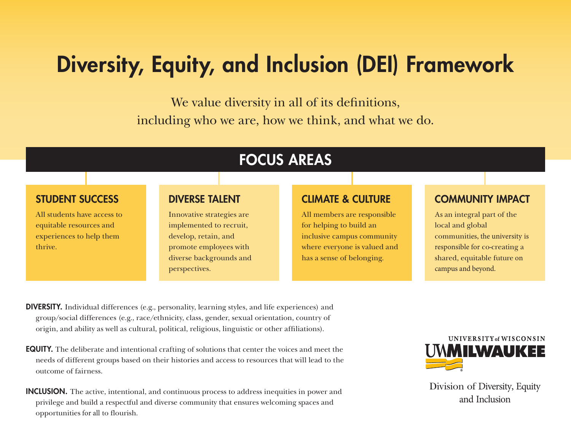# Diversity, Equity, and Inclusion (DEI) Framework

We value diversity in all of its definitions, including who we are, how we think, and what we do.

## FOCUS AREAS

#### STUDENT SUCCESS

All students have access to equitable resources and experiences to help them thrive.

#### DIVERSE TALENT

Innovative strategies are implemented to recruit, develop, retain, and promote employees with diverse backgrounds and perspectives.

#### CLIMATE & CULTURE

All members are responsible for helping to build an inclusive campus community where everyone is valued and has a sense of belonging.

### COMMUNITY IMPACT

As an integral part of the local and global communities, the university is responsible for co-creating a shared, equitable future on campus and beyond.

DIVERSITY. Individual differences (e.g., personality, learning styles, and life experiences) and group/social differences (e.g., race/ethnicity, class, gender, sexual orientation, country of origin, and ability as well as cultural, political, religious, linguistic or other affiliations).

- EQUITY. The deliberate and intentional crafting of solutions that center the voices and meet the needs of different groups based on their histories and access to resources that will lead to the outcome of fairness.
- INCLUSION. The active, intentional, and continuous process to address inequities in power and privilege and build a respectful and diverse community that ensures welcoming spaces and opportunities for all to flourish.



Division of Diversity, Equity and Inclusion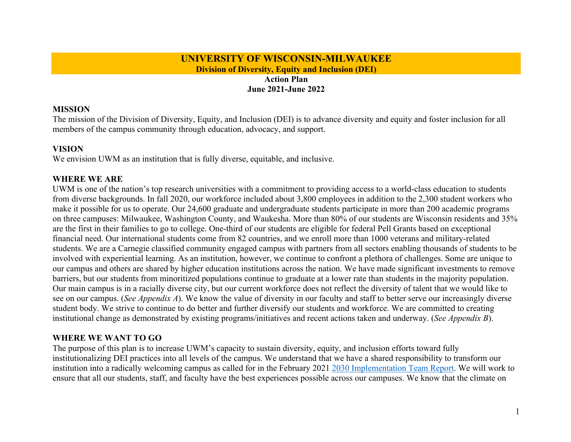#### **UNIVERSITY OF WISCONSIN-MILWAUKEE Division of Diversity, Equity and Inclusion (DEI)**

#### **Action Plan June 2021-June 2022**

#### **MISSION**

The mission of the Division of Diversity, Equity, and Inclusion (DEI) is to advance diversity and equity and foster inclusion for all members of the campus community through education, advocacy, and support.

#### **VISION**

We envision UWM as an institution that is fully diverse, equitable, and inclusive.

#### **WHERE WE ARE**

UWM is one of the nation's top research universities with a commitment to providing access to a world-class education to students from diverse backgrounds. In fall 2020, our workforce included about 3,800 employees in addition to the 2,300 student workers who make it possible for us to operate. Our 24,600 graduate and undergraduate students participate in more than 200 academic programs on three campuses: Milwaukee, Washington County, and Waukesha. More than 80% of our students are Wisconsin residents and 35% are the first in their families to go to college. One-third of our students are eligible for federal Pell Grants based on exceptional financial need. Our international students come from 82 countries, and we enroll more than 1000 veterans and military-related students. We are a Carnegie classified community engaged campus with partners from all sectors enabling thousands of students to be involved with experiential learning. As an institution, however, we continue to confront a plethora of challenges. Some are unique to our campus and others are shared by higher education institutions across the nation. We have made significant investments to remove barriers, but our students from minoritized populations continue to graduate at a lower rate than students in the majority population. Our main campus is in a racially diverse city, but our current workforce does not reflect the diversity of talent that we would like to see on our campus. (*See Appendix A*). We know the value of diversity in our faculty and staff to better serve our increasingly diverse student body. We strive to continue to do better and further diversify our students and workforce. We are committed to creating institutional change as demonstrated by existing programs/initiatives and recent actions taken and underway. (*See Appendix B*).

#### **WHERE WE WANT TO GO**

The purpose of this plan is to increase UWM's capacity to sustain diversity, equity, and inclusion efforts toward fully institutionalizing DEI practices into all levels of the campus. We understand that we have a shared responsibility to transform our institution into a radically welcoming campus as called for in the February 2021 2030 Implementation Team Report. We will work to ensure that all our students, staff, and faculty have the best experiences possible across our campuses. We know that the climate on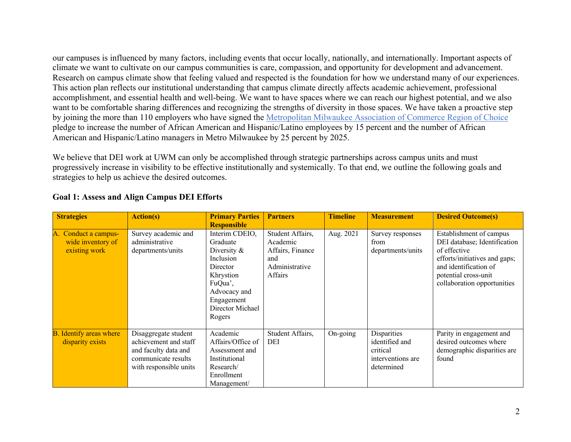our campuses is influenced by many factors, including events that occur locally, nationally, and internationally. Important aspects of climate we want to cultivate on our campus communities is care, compassion, and opportunity for development and advancement. Research on campus climate show that feeling valued and respected is the foundation for how we understand many of our experiences. This action plan reflects our institutional understanding that campus climate directly affects academic achievement, professional accomplishment, and essential health and well-being. We want to have spaces where we can reach our highest potential, and we also want to be comfortable sharing differences and recognizing the strengths of diversity in those spaces. We have taken a proactive step by joining the more than 110 employers who have signed the Metropolitan Milwaukee Association of Commerce Region of Choice pledge to increase the number of African American and Hispanic/Latino employees by 15 percent and the number of African American and Hispanic/Latino managers in Metro Milwaukee by 25 percent by 2025.

We believe that DEI work at UWM can only be accomplished through strategic partnerships across campus units and must progressively increase in visibility to be effective institutionally and systemically. To that end, we outline the following goals and strategies to help us achieve the desired outcomes.

| <b>Strategies</b>                                          | <b>Action(s)</b>                                                                                                       | <b>Primary Parties</b><br><b>Responsible</b>                                                                                                                     | <b>Partners</b>                                                                      | <b>Timeline</b> | <b>Measurement</b>                                                           | <b>Desired Outcome(s)</b>                                                                                                                                                                |
|------------------------------------------------------------|------------------------------------------------------------------------------------------------------------------------|------------------------------------------------------------------------------------------------------------------------------------------------------------------|--------------------------------------------------------------------------------------|-----------------|------------------------------------------------------------------------------|------------------------------------------------------------------------------------------------------------------------------------------------------------------------------------------|
| A. Conduct a campus-<br>wide inventory of<br>existing work | Survey academic and<br>administrative<br>departments/units                                                             | Interim CDEIO,<br>Graduate<br>Diversity $\&$<br><b>Inclusion</b><br>Director<br>Khrystion<br>FuQua',<br>Advocacy and<br>Engagement<br>Director Michael<br>Rogers | Student Affairs,<br>Academic<br>Affairs, Finance<br>and<br>Administrative<br>Affairs | Aug. 2021       | Survey responses<br>from<br>departments/units                                | Establishment of campus<br>DEI database; Identification<br>of effective<br>efforts/initiatives and gaps;<br>and identification of<br>potential cross-unit<br>collaboration opportunities |
| <b>B.</b> Identify areas where<br>disparity exists         | Disaggregate student<br>achievement and staff<br>and faculty data and<br>communicate results<br>with responsible units | Academic<br>Affairs/Office of<br>Assessment and<br>Institutional<br>Research/<br>Enrollment<br>Management/                                                       | Student Affairs,<br>DEI                                                              | On-going        | Disparities<br>identified and<br>critical<br>interventions are<br>determined | Parity in engagement and<br>desired outcomes where<br>demographic disparities are<br>found                                                                                               |

#### **Goal 1: Assess and Align Campus DEI Efforts**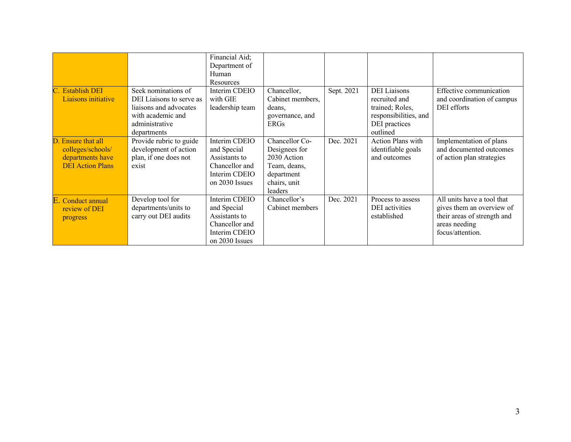|                                                                                        |                                                                                                                                 | Financial Aid;<br>Department of<br>Human<br>Resources                                              |                                                                                                         |            |                                                                                                               |                                                                                                                             |
|----------------------------------------------------------------------------------------|---------------------------------------------------------------------------------------------------------------------------------|----------------------------------------------------------------------------------------------------|---------------------------------------------------------------------------------------------------------|------------|---------------------------------------------------------------------------------------------------------------|-----------------------------------------------------------------------------------------------------------------------------|
| C. Establish DEI<br>Liaisons initiative                                                | Seek nominations of<br>DEI Liaisons to serve as<br>liaisons and advocates<br>with academic and<br>administrative<br>departments | Interim CDEIO<br>with GIE<br>leadership team                                                       | Chancellor,<br>Cabinet members,<br>deans,<br>governance, and<br><b>ERGs</b>                             | Sept. 2021 | <b>DEI</b> Liaisons<br>recruited and<br>trained; Roles,<br>responsibilities, and<br>DEI practices<br>outlined | Effective communication<br>and coordination of campus<br>DEI efforts                                                        |
| D. Ensure that all<br>colleges/schools/<br>departments have<br><b>DEI</b> Action Plans | Provide rubric to guide<br>development of action<br>plan, if one does not<br>exist                                              | Interim CDEIO<br>and Special<br>Assistants to<br>Chancellor and<br>Interim CDEIO<br>on 2030 Issues | Chancellor Co-<br>Designees for<br>2030 Action<br>Team, deans,<br>department<br>chairs, unit<br>leaders | Dec. 2021  | Action Plans with<br>identifiable goals<br>and outcomes                                                       | Implementation of plans<br>and documented outcomes<br>of action plan strategies                                             |
| E. Conduct annual<br>review of DEI<br>progress                                         | Develop tool for<br>departments/units to<br>carry out DEI audits                                                                | Interim CDEIO<br>and Special<br>Assistants to<br>Chancellor and<br>Interim CDEIO<br>on 2030 Issues | Chancellor's<br>Cabinet members                                                                         | Dec. 2021  | Process to assess<br><b>DEI</b> activities<br>established                                                     | All units have a tool that<br>gives them an overview of<br>their areas of strength and<br>areas needing<br>focus/attention. |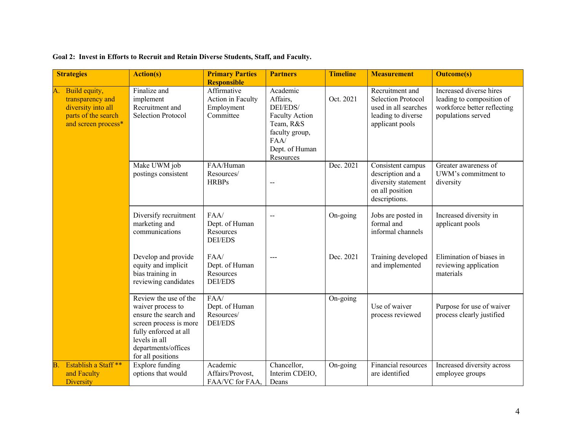| <b>Strategies</b>                                                                                           | <b>Action(s)</b>                                                                                                                                                                    | <b>Primary Parties</b><br><b>Responsible</b>                | <b>Partners</b>                                                                                                                 | <b>Timeline</b> | <b>Measurement</b>                                                                                            | <b>Outcome(s)</b>                                                                                         |
|-------------------------------------------------------------------------------------------------------------|-------------------------------------------------------------------------------------------------------------------------------------------------------------------------------------|-------------------------------------------------------------|---------------------------------------------------------------------------------------------------------------------------------|-----------------|---------------------------------------------------------------------------------------------------------------|-----------------------------------------------------------------------------------------------------------|
| Build equity,<br>А.<br>transparency and<br>diversity into all<br>parts of the search<br>and screen process* | Finalize and<br>implement<br>Recruitment and<br><b>Selection Protocol</b>                                                                                                           | Affirmative<br>Action in Faculty<br>Employment<br>Committee | Academic<br>Affairs,<br>DEI/EDS/<br><b>Faculty Action</b><br>Team, R&S<br>faculty group,<br>FAA/<br>Dept. of Human<br>Resources | Oct. 2021       | Recruitment and<br><b>Selection Protocol</b><br>used in all searches<br>leading to diverse<br>applicant pools | Increased diverse hires<br>leading to composition of<br>workforce better reflecting<br>populations served |
|                                                                                                             | Make UWM job<br>postings consistent                                                                                                                                                 | FAA/Human<br>Resources/<br><b>HRBPs</b>                     |                                                                                                                                 | Dec. 2021       | Consistent campus<br>description and a<br>diversity statement<br>on all position<br>descriptions.             | Greater awareness of<br>UWM's commitment to<br>diversity                                                  |
|                                                                                                             | Diversify recruitment<br>marketing and<br>communications                                                                                                                            | FAA/<br>Dept. of Human<br>Resources<br><b>DEI/EDS</b>       |                                                                                                                                 | On-going        | Jobs are posted in<br>formal and<br>informal channels                                                         | Increased diversity in<br>applicant pools                                                                 |
|                                                                                                             | Develop and provide<br>equity and implicit<br>bias training in<br>reviewing candidates                                                                                              | FAA/<br>Dept. of Human<br>Resources<br><b>DEI/EDS</b>       |                                                                                                                                 | Dec. 2021       | Training developed<br>and implemented                                                                         | Elimination of biases in<br>reviewing application<br>materials                                            |
|                                                                                                             | Review the use of the<br>waiver process to<br>ensure the search and<br>screen process is more<br>fully enforced at all<br>levels in all<br>departments/offices<br>for all positions | FAA/<br>Dept. of Human<br>Resources/<br><b>DEI/EDS</b>      |                                                                                                                                 | On-going        | Use of waiver<br>process reviewed                                                                             | Purpose for use of waiver<br>process clearly justified                                                    |
| Establish a Staff <sup>**</sup><br>В<br>and Faculty<br><b>Diversity</b>                                     | <b>Explore funding</b><br>options that would                                                                                                                                        | Academic<br>Affairs/Provost,<br>FAA/VC for FAA,             | Chancellor,<br>Interim CDEIO,<br>Deans                                                                                          | On-going        | Financial resources<br>are identified                                                                         | Increased diversity across<br>employee groups                                                             |

#### **Goal 2: Invest in Efforts to Recruit and Retain Diverse Students, Staff, and Faculty.**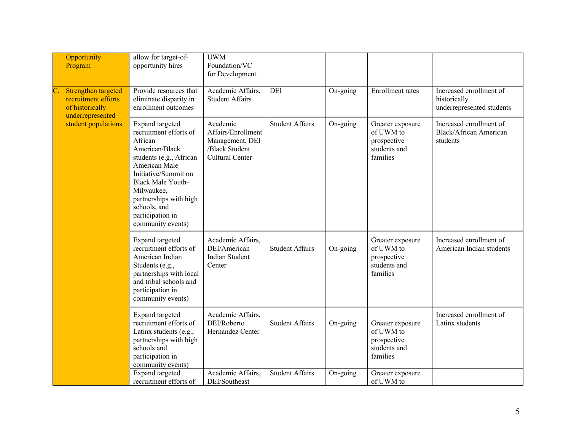| Opportunity<br>Program                                                            | allow for target-of-<br>opportunity hires                                                                                                                                                                                                                               | <b>UWM</b><br>Foundation/VC<br>for Development                                                |                        |          |                                                                          |                                                                      |
|-----------------------------------------------------------------------------------|-------------------------------------------------------------------------------------------------------------------------------------------------------------------------------------------------------------------------------------------------------------------------|-----------------------------------------------------------------------------------------------|------------------------|----------|--------------------------------------------------------------------------|----------------------------------------------------------------------|
| Strengthen targeted<br>recruitment efforts<br>of historically<br>underrepresented | Provide resources that<br>eliminate disparity in<br>enrollment outcomes                                                                                                                                                                                                 | Academic Affairs,<br><b>Student Affairs</b>                                                   | DEI                    | On-going | Enrollment rates                                                         | Increased enrollment of<br>historically<br>underrepresented students |
| student populations                                                               | Expand targeted<br>recruitment efforts of<br>African<br>American/Black<br>students (e.g., African<br>American Male<br>Initiative/Summit on<br><b>Black Male Youth-</b><br>Milwaukee,<br>partnerships with high<br>schools, and<br>participation in<br>community events) | Academic<br>Affairs/Enrollment<br>Management, DEI<br>/Black Student<br><b>Cultural Center</b> | <b>Student Affairs</b> | On-going | Greater exposure<br>of UWM to<br>prospective<br>students and<br>families | Increased enrollment of<br><b>Black/African American</b><br>students |
|                                                                                   | Expand targeted<br>recruitment efforts of<br>American Indian<br>Students (e.g.,<br>partnerships with local<br>and tribal schools and<br>participation in<br>community events)                                                                                           | Academic Affairs,<br>DEI/American<br><b>Indian Student</b><br>Center                          | <b>Student Affairs</b> | On-going | Greater exposure<br>of UWM to<br>prospective<br>students and<br>families | Increased enrollment of<br>American Indian students                  |
|                                                                                   | Expand targeted<br>recruitment efforts of<br>Latinx students (e.g.,<br>partnerships with high<br>schools and<br>participation in<br>community events)                                                                                                                   | Academic Affairs,<br>DEI/Roberto<br>Hernandez Center                                          | <b>Student Affairs</b> | On-going | Greater exposure<br>of UWM to<br>prospective<br>students and<br>families | Increased enrollment of<br>Latinx students                           |
|                                                                                   | <b>Expand</b> targeted<br>recruitment efforts of                                                                                                                                                                                                                        | Academic Affairs,<br>DEI/Southeast                                                            | <b>Student Affairs</b> | On-going | Greater exposure<br>of UWM to                                            |                                                                      |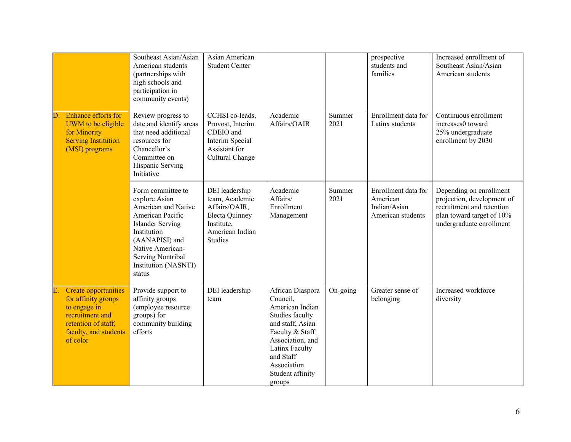|                                                                                                                                            | Southeast Asian/Asian<br>American students<br>(partnerships with<br>high schools and<br>participation in<br>community events)                                                                                        | Asian American<br><b>Student Center</b>                                                                                |                                                                                                                                                                                                           |                | prospective<br>students and<br>families                              | Increased enrollment of<br>Southeast Asian/Asian<br>American students                                                                       |
|--------------------------------------------------------------------------------------------------------------------------------------------|----------------------------------------------------------------------------------------------------------------------------------------------------------------------------------------------------------------------|------------------------------------------------------------------------------------------------------------------------|-----------------------------------------------------------------------------------------------------------------------------------------------------------------------------------------------------------|----------------|----------------------------------------------------------------------|---------------------------------------------------------------------------------------------------------------------------------------------|
| Enhance efforts for<br>UWM to be eligible<br>for Minority<br><b>Serving Institution</b><br>(MSI) programs                                  | Review progress to<br>date and identify areas<br>that need additional<br>resources for<br>Chancellor's<br>Committee on<br>Hispanic Serving<br>Initiative                                                             | CCHSI co-leads,<br>Provost, Interim<br>CDEIO and<br>Interim Special<br>Assistant for<br>Cultural Change                | Academic<br>Affairs/OAIR                                                                                                                                                                                  | Summer<br>2021 | Enrollment data for<br>Latinx students                               | Continuous enrollment<br>increases0 toward<br>25% undergraduate<br>enrollment by 2030                                                       |
|                                                                                                                                            | Form committee to<br>explore Asian<br>American and Native<br>American Pacific<br><b>Islander Serving</b><br>Institution<br>(AANAPISI) and<br>Native American-<br>Serving Nontribal<br>Institution (NASNTI)<br>status | DEI leadership<br>team, Academic<br>Affairs/OAIR,<br>Electa Quinney<br>Institute,<br>American Indian<br><b>Studies</b> | Academic<br>Affairs/<br>Enrollment<br>Management                                                                                                                                                          | Summer<br>2021 | Enrollment data for<br>American<br>Indian/Asian<br>American students | Depending on enrollment<br>projection, development of<br>recruitment and retention<br>plan toward target of 10%<br>undergraduate enrollment |
| Create opportunities<br>for affinity groups<br>to engage in<br>recruitment and<br>retention of staff,<br>faculty, and students<br>of color | Provide support to<br>affinity groups<br>(employee resource<br>groups) for<br>community building<br>efforts                                                                                                          | DEI leadership<br>team                                                                                                 | African Diaspora<br>Council,<br>American Indian<br>Studies faculty<br>and staff, Asian<br>Faculty & Staff<br>Association, and<br>Latinx Faculty<br>and Staff<br>Association<br>Student affinity<br>groups | On-going       | Greater sense of<br>belonging                                        | Increased workforce<br>diversity                                                                                                            |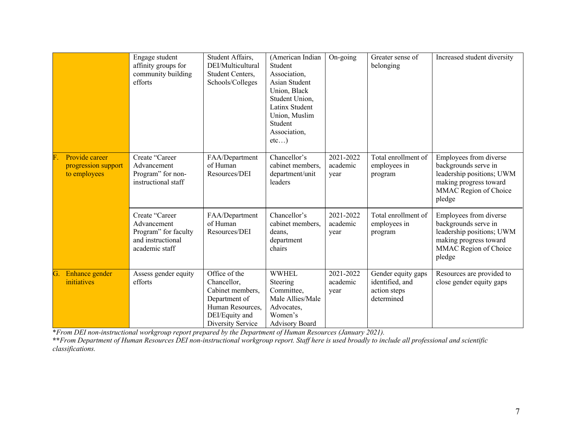|    |                                                       | Engage student<br>affinity groups for<br>community building<br>efforts                        | Student Affairs,<br>DEI/Multicultural<br>Student Centers,<br>Schools/Colleges                                                | (American Indian<br>Student<br>Association,<br>Asian Student<br>Union, Black<br>Student Union,<br>Latinx Student<br>Union, Muslim<br>Student<br>Association,<br>etc) | On-going                      | Greater sense of<br>belonging                                       | Increased student diversity                                                                                                              |
|----|-------------------------------------------------------|-----------------------------------------------------------------------------------------------|------------------------------------------------------------------------------------------------------------------------------|----------------------------------------------------------------------------------------------------------------------------------------------------------------------|-------------------------------|---------------------------------------------------------------------|------------------------------------------------------------------------------------------------------------------------------------------|
|    | Provide career<br>progression support<br>to employees | Create "Career<br>Advancement<br>Program" for non-<br>instructional staff                     | FAA/Department<br>of Human<br>Resources/DEI                                                                                  | Chancellor's<br>cabinet members,<br>department/unit<br>leaders                                                                                                       | 2021-2022<br>academic<br>year | Total enrollment of<br>employees in<br>program                      | Employees from diverse<br>backgrounds serve in<br>leadership positions; UWM<br>making progress toward<br>MMAC Region of Choice<br>pledge |
|    |                                                       | Create "Career"<br>Advancement<br>Program" for faculty<br>and instructional<br>academic staff | FAA/Department<br>of Human<br>Resources/DEI                                                                                  | Chancellor's<br>cabinet members,<br>deans,<br>department<br>chairs                                                                                                   | 2021-2022<br>academic<br>year | Total enrollment of<br>employees in<br>program                      | Employees from diverse<br>backgrounds serve in<br>leadership positions; UWM<br>making progress toward<br>MMAC Region of Choice<br>pledge |
| G. | Enhance gender<br>initiatives                         | Assess gender equity<br>efforts                                                               | Office of the<br>Chancellor,<br>Cabinet members,<br>Department of<br>Human Resources,<br>DEI/Equity and<br>Diversity Service | <b>WWHEL</b><br>Steering<br>Committee,<br>Male Allies/Male<br>Advocates,<br>Women's<br><b>Advisory Board</b>                                                         | 2021-2022<br>academic<br>year | Gender equity gaps<br>identified, and<br>action steps<br>determined | Resources are provided to<br>close gender equity gaps                                                                                    |

\**From DEI non-instructional workgroup report prepared by the Department of Human Resources (January 2021).*

**\*\****From Department of Human Resources DEI non-instructional workgroup report. Staff here is used broadly to include all professional and scientific classifications.*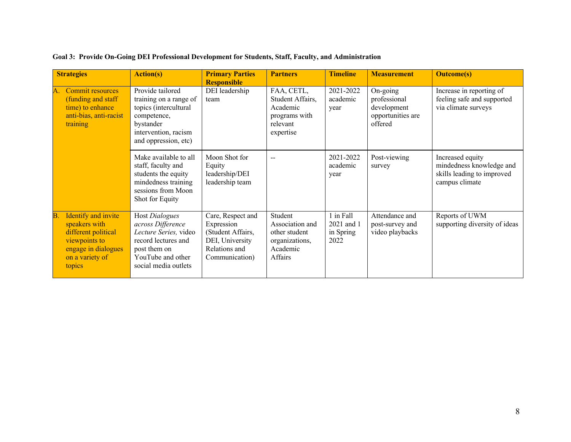| <b>Strategies</b>                                                                                                                      | <b>Action(s)</b>                                                                                                                                 | <b>Primary Parties</b>                                                                                     | <b>Partners</b>                                                                      | <b>Timeline</b>                              | <b>Measurement</b>                                                      | <b>Outcome(s)</b>                                                                            |
|----------------------------------------------------------------------------------------------------------------------------------------|--------------------------------------------------------------------------------------------------------------------------------------------------|------------------------------------------------------------------------------------------------------------|--------------------------------------------------------------------------------------|----------------------------------------------|-------------------------------------------------------------------------|----------------------------------------------------------------------------------------------|
| Commit resources<br>(funding and staff)<br>time) to enhance<br>anti-bias, anti-racist<br>training                                      | Provide tailored<br>training on a range of<br>topics (intercultural<br>competence,<br>bystander<br>intervention, racism<br>and oppression, etc)  | <b>Responsible</b><br>DEI leadership<br>team                                                               | FAA, CETL,<br>Student Affairs,<br>Academic<br>programs with<br>relevant<br>expertise | 2021-2022<br>academic<br>year                | On-going<br>professional<br>development<br>opportunities are<br>offered | Increase in reporting of<br>feeling safe and supported<br>via climate surveys                |
|                                                                                                                                        | Make available to all<br>staff, faculty and<br>students the equity<br>mindedness training<br>sessions from Moon<br>Shot for Equity               | Moon Shot for<br>Equity<br>leadership/DEI<br>leadership team                                               |                                                                                      | 2021-2022<br>academic<br>year                | Post-viewing<br>survey                                                  | Increased equity<br>mindedness knowledge and<br>skills leading to improved<br>campus climate |
| Identify and invite<br>Β.<br>speakers with<br>different political<br>viewpoints to<br>engage in dialogues<br>on a variety of<br>topics | Host Dialogues<br>across Difference<br>Lecture Series, video<br>record lectures and<br>post them on<br>YouTube and other<br>social media outlets | Care, Respect and<br>Expression<br>(Student Affairs,<br>DEI, University<br>Relations and<br>Communication) | Student<br>Association and<br>other student<br>organizations,<br>Academic<br>Affairs | 1 in Fall<br>2021 and 1<br>in Spring<br>2022 | Attendance and<br>post-survey and<br>video playbacks                    | Reports of UWM<br>supporting diversity of ideas                                              |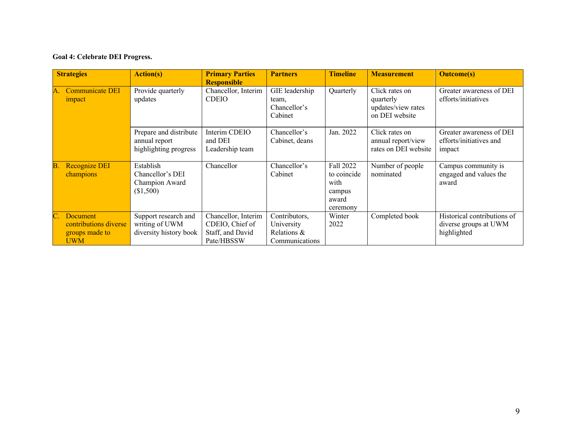#### **Goal 4: Celebrate DEI Progress.**

|    | <b>Strategies</b>                                                 | <b>Action(s)</b>                                                 | <b>Primary Parties</b><br><b>Responsible</b>                             | <b>Partners</b>                                              | <b>Timeline</b>                                                 | <b>Measurement</b>                                                  | <b>Outcome(s)</b>                                                   |
|----|-------------------------------------------------------------------|------------------------------------------------------------------|--------------------------------------------------------------------------|--------------------------------------------------------------|-----------------------------------------------------------------|---------------------------------------------------------------------|---------------------------------------------------------------------|
|    | <b>Communicate DEI</b><br>impact                                  | Provide quarterly<br>updates                                     | Chancellor, Interim<br><b>CDEIO</b>                                      | GIE leadership<br>team,<br>Chancellor's<br>Cabinet           | Quarterly                                                       | Click rates on<br>quarterly<br>updates/view rates<br>on DEI website | Greater awareness of DEI<br>efforts/initiatives                     |
|    |                                                                   | Prepare and distribute<br>annual report<br>highlighting progress | Interim CDEIO<br>and DEI<br>Leadership team                              | Chancellor's<br>Cabinet, deans                               | Jan. 2022                                                       | Click rates on<br>annual report/view<br>rates on DEI website        | Greater awareness of DEI<br>efforts/initiatives and<br>impact       |
| В. | Recognize DEI<br>champions                                        | Establish<br>Chancellor's DEI<br>Champion Award<br>(\$1,500)     | Chancellor                                                               | Chancellor's<br>Cabinet                                      | Fall 2022<br>to coincide<br>with<br>campus<br>award<br>ceremony | Number of people<br>nominated                                       | Campus community is<br>engaged and values the<br>award              |
|    | Document<br>contributions diverse<br>groups made to<br><b>UWM</b> | Support research and<br>writing of UWM<br>diversity history book | Chancellor, Interim<br>CDEIO, Chief of<br>Staff, and David<br>Pate/HBSSW | Contributors,<br>University<br>Relations &<br>Communications | Winter<br>2022                                                  | Completed book                                                      | Historical contributions of<br>diverse groups at UWM<br>highlighted |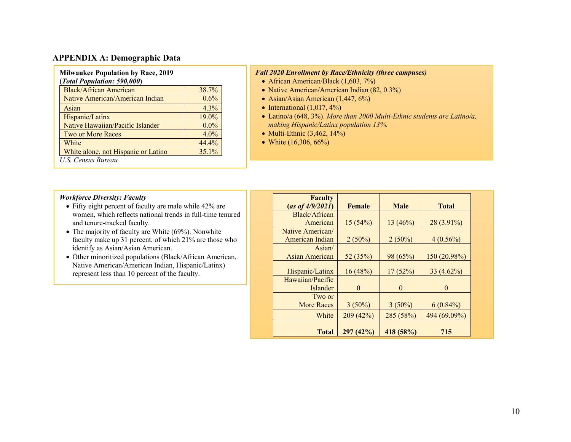#### **APPENDIX A: Demographic Data**

| <b>Milwaukee Population by Race, 2019</b> |         |
|-------------------------------------------|---------|
| (Total Population: 590,000)               |         |
| Black/African American                    | 38.7%   |
| Native American/American Indian           | 0.6%    |
| Asian                                     | $4.3\%$ |
| Hispanic/Latinx                           | 19.0%   |
| Native Hawaiian/Pacific Islander          | $0.0\%$ |
| <b>Two or More Races</b>                  | $4.0\%$ |
| White                                     | 44.4%   |
| White alone, not Hispanic or Latino       | 35.1%   |
| U.S. Census Bureau                        |         |

#### *Fall 2020 Enrollment by Race/Ethnicity (three campuses)*

- African American/Black (1,603, 7%)
- Native American/American Indian (82, 0.3%)
- Asian/Asian American (1,447, 6%)
- International  $(1,017, 4\%)$
- Latino/a (648, 3%). *More than 2000 Multi-Ethnic students are Latino/a, making Hispanic/Latinx population 13%.*
- Multi-Ethnic  $(3,462, 14\%)$
- White  $(16,306, 66%)$

#### *Workforce Diversity: Faculty*

- Fifty eight percent of faculty are male while 42% are women, which reflects national trends in full-time tenured and tenure-tracked faculty.
- The majority of faculty are White (69%). Nonwhite faculty make up 31 percent, of which 21% are those who identify as Asian/Asian American.
- Other minoritized populations (Black/African American, Native American/American Indian, Hispanic/Latinx) represent less than 10 percent of the faculty.

| <b>Faculty</b>    |           |             |              |
|-------------------|-----------|-------------|--------------|
| (as of 4/9/2021)  | Female    | <b>Male</b> | <b>Total</b> |
| Black/African     |           |             |              |
| American          | 15(54%)   | 13(46%)     | 28 (3.91%)   |
| Native American/  |           |             |              |
| American Indian   | $2(50\%)$ | $2(50\%)$   | $4(0.56\%)$  |
| Asian/            |           |             |              |
| Asian American    | 52(35%)   | 98 (65%)    | 150 (20.98%) |
|                   |           |             |              |
| Hispanic/Latinx   | 16(48%)   | 17(52%)     | $33(4.62\%)$ |
| Hawaiian/Pacific  |           |             |              |
| Islander          | $\theta$  | $\theta$    | $\theta$     |
| Two or            |           |             |              |
| <b>More Races</b> | $3(50\%)$ | $3(50\%)$   | $6(0.84\%)$  |
| White             | 209 (42%) | 285 (58%)   | 494 (69.09%) |
|                   |           |             |              |
| <b>Total</b>      | 297(42%)  | 418 (58%)   | 715          |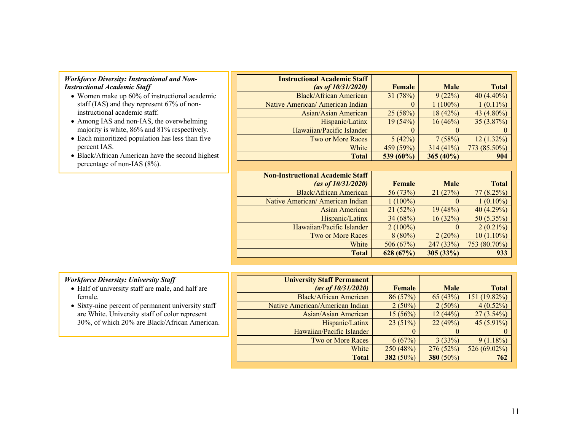#### *Workforce Diversity: Instructional and Non-Instructional Academic Staff*

- Women make up 60% of instructional academic staff (IAS) and they represent 67% of noninstructional academic staff.
- Among IAS and non-IAS, the overwhelming majority is white, 86% and 81% respectively.
- Each minoritized population has less than five percent IAS.
- Black/African American have the second highest percentage of non-IAS (8%).

| <b>Instructional Academic Staff</b>     |               |             |                  |
|-----------------------------------------|---------------|-------------|------------------|
| (as of $10/31/2020$ )                   | Female        | <b>Male</b> | <b>Total</b>     |
| <b>Black/African American</b>           | 31(78%)       | 9(22%)      | $40(4.40\%)$     |
| Native American/American Indian         | 0             | $1(100\%)$  | $1(0.11\%)$      |
| Asian/Asian American                    | 25(58%)       | 18(42%)     | 43 (4.80%)       |
| Hispanic/Latinx                         | 19(54%)       | $16(46\%)$  | $35(3.87\%)$     |
| Hawaiian/Pacific Islander               | $\Omega$      | 0           | $\left( \right)$ |
| <b>Two or More Races</b>                | 5(42%)        | 7(58%)      | $12(1.32\%)$     |
| White                                   | 459 (59%)     | 314(41%)    | 773 (85.50%)     |
| <b>Total</b>                            | 539 (60%)     | $365(40\%)$ | 904              |
|                                         |               |             |                  |
|                                         |               |             |                  |
| <b>Non-Instructional Academic Staff</b> |               |             |                  |
| (as of $10/31/2020$ )                   | <b>Female</b> | <b>Male</b> | <b>Total</b>     |
| <b>Black/African American</b>           | 56 (73%)      | 21(27%)     | 77(8.25%)        |
| Native American/American Indian         | $1(100\%)$    | $\Omega$    | $1(0.10\%)$      |
| Asian American                          | 21(52%)       | 19(48%)     | 40 (4.29%)       |
| Hispanic/Latinx                         | 34 (68%)      | 16(32%)     | 50 (5.35%)       |
| Hawaiian/Pacific Islander               | $2(100\%)$    | $\theta$    | $2(0.21\%)$      |
| <b>Two or More Races</b>                | $8(80\%)$     | 2(20%)      | $10(1.10\%)$     |

#### *Workforce Diversity: University Staff*

- Half of university staff are male, and half are female.
- Sixty-nine percent of permanent university staff are White. University staff of color represent 30%, of which 20% are Black/African American.

| <b>University Staff Permanent</b> |           |             |              |
|-----------------------------------|-----------|-------------|--------------|
| (as of $10/31/2020$ )             | Female    | <b>Male</b> | <b>Total</b> |
| <b>Black/African American</b>     | 86(57%)   | 65(43%)     | 151 (19.82%) |
| Native American/American Indian   | $2(50\%)$ | $2(50\%)$   | $4(0.52\%)$  |
| Asian/Asian American              | 15(56%)   | 12(44%)     | $27(3.54\%)$ |
| Hispanic/Latinx                   | 23(51%)   | 22(49%)     | $45(5.91\%)$ |
| Hawaiian/Pacific Islander         | $\theta$  |             | $\theta$     |
| Two or More Races                 | 6(67%)    | 3(33%)      | $9(1.18\%)$  |
| White                             | 250(48%)  | 276(52%)    | 526 (69.02%) |
| <b>Total</b>                      | 382 (50%) | 380 (50%)   | 762          |
|                                   |           |             |              |

**Total 628 (67%) 305 (33%) 933**